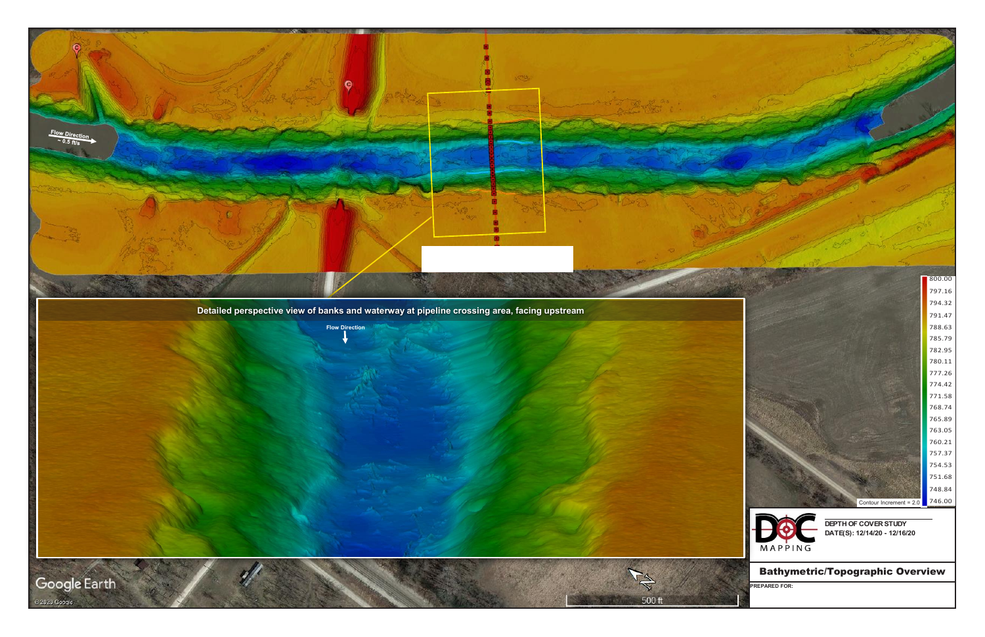